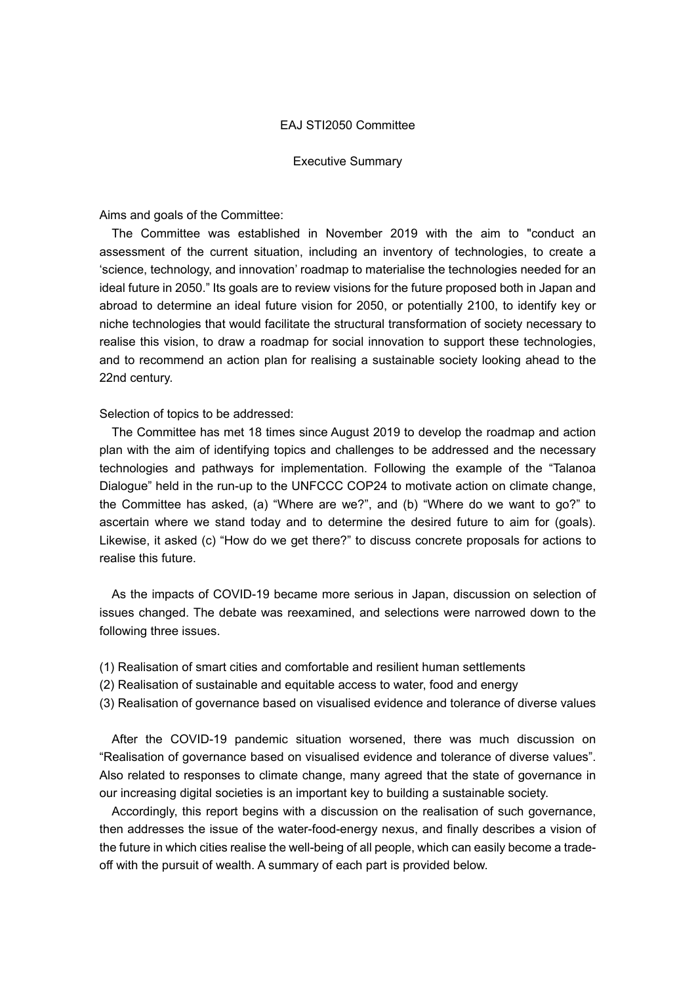## EAJ STI2050 Committee

#### Executive Summary

Aims and goals of the Committee:

The Committee was established in November 2019 with the aim to "conduct an assessment of the current situation, including an inventory of technologies, to create a 'science, technology, and innovation' roadmap to materialise the technologies needed for an ideal future in 2050." Its goals are to review visions for the future proposed both in Japan and abroad to determine an ideal future vision for 2050, or potentially 2100, to identify key or niche technologies that would facilitate the structural transformation of society necessary to realise this vision, to draw a roadmap for social innovation to support these technologies, and to recommend an action plan for realising a sustainable society looking ahead to the 22nd century.

Selection of topics to be addressed:

The Committee has met 18 times since August 2019 to develop the roadmap and action plan with the aim of identifying topics and challenges to be addressed and the necessary technologies and pathways for implementation. Following the example of the "Talanoa Dialogue" held in the run-up to the UNFCCC COP24 to motivate action on climate change, the Committee has asked, (a) "Where are we?", and (b) "Where do we want to go?" to ascertain where we stand today and to determine the desired future to aim for (goals). Likewise, it asked (c) "How do we get there?" to discuss concrete proposals for actions to realise this future.

As the impacts of COVID-19 became more serious in Japan, discussion on selection of issues changed. The debate was reexamined, and selections were narrowed down to the following three issues.

- (1) Realisation of smart cities and comfortable and resilient human settlements
- (2) Realisation of sustainable and equitable access to water, food and energy
- (3) Realisation of governance based on visualised evidence and tolerance of diverse values

After the COVID-19 pandemic situation worsened, there was much discussion on "Realisation of governance based on visualised evidence and tolerance of diverse values". Also related to responses to climate change, many agreed that the state of governance in our increasing digital societies is an important key to building a sustainable society.

Accordingly, this report begins with a discussion on the realisation of such governance, then addresses the issue of the water-food-energy nexus, and finally describes a vision of the future in which cities realise the well-being of all people, which can easily become a tradeoff with the pursuit of wealth. A summary of each part is provided below.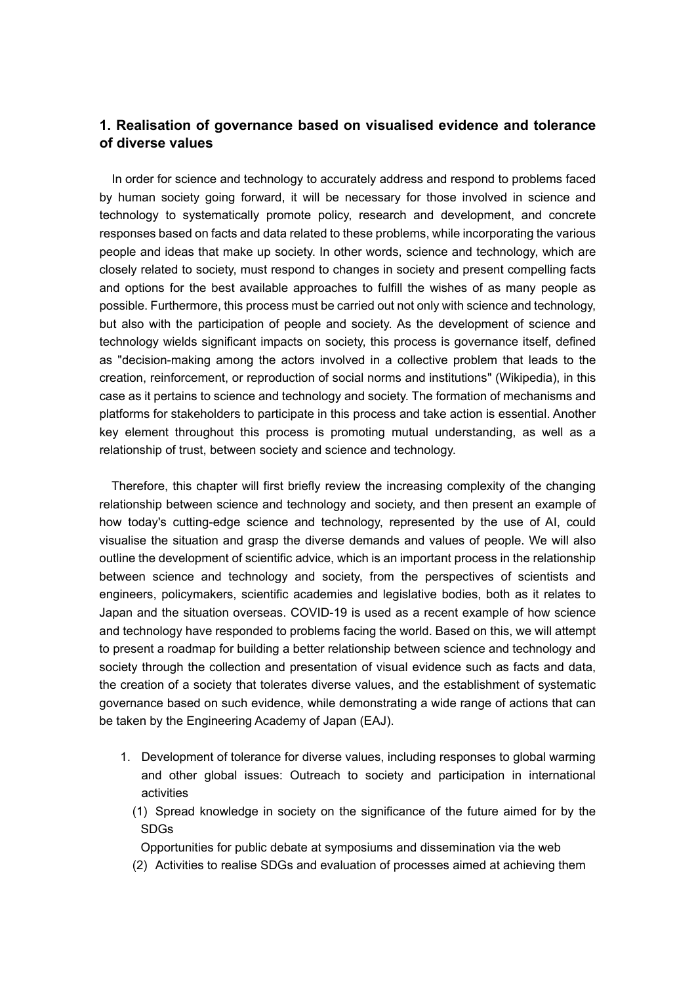# **1. Realisation of governance based on visualised evidence and tolerance of diverse values**

In order for science and technology to accurately address and respond to problems faced by human society going forward, it will be necessary for those involved in science and technology to systematically promote policy, research and development, and concrete responses based on facts and data related to these problems, while incorporating the various people and ideas that make up society. In other words, science and technology, which are closely related to society, must respond to changes in society and present compelling facts and options for the best available approaches to fulfill the wishes of as many people as possible. Furthermore, this process must be carried out not only with science and technology, but also with the participation of people and society. As the development of science and technology wields significant impacts on society, this process is governance itself, defined as "decision-making among the actors involved in a collective problem that leads to the creation, reinforcement, or reproduction of social norms and institutions" (Wikipedia), in this case as it pertains to science and technology and society. The formation of mechanisms and platforms for stakeholders to participate in this process and take action is essential. Another key element throughout this process is promoting mutual understanding, as well as a relationship of trust, between society and science and technology.

Therefore, this chapter will first briefly review the increasing complexity of the changing relationship between science and technology and society, and then present an example of how today's cutting-edge science and technology, represented by the use of AI, could visualise the situation and grasp the diverse demands and values of people. We will also outline the development of scientific advice, which is an important process in the relationship between science and technology and society, from the perspectives of scientists and engineers, policymakers, scientific academies and legislative bodies, both as it relates to Japan and the situation overseas. COVID-19 is used as a recent example of how science and technology have responded to problems facing the world. Based on this, we will attempt to present a roadmap for building a better relationship between science and technology and society through the collection and presentation of visual evidence such as facts and data, the creation of a society that tolerates diverse values, and the establishment of systematic governance based on such evidence, while demonstrating a wide range of actions that can be taken by the Engineering Academy of Japan (EAJ).

- 1. Development of tolerance for diverse values, including responses to global warming and other global issues: Outreach to society and participation in international activities
	- (1) Spread knowledge in society on the significance of the future aimed for by the SDGs

Opportunities for public debate at symposiums and dissemination via the web

(2) Activities to realise SDGs and evaluation of processes aimed at achieving them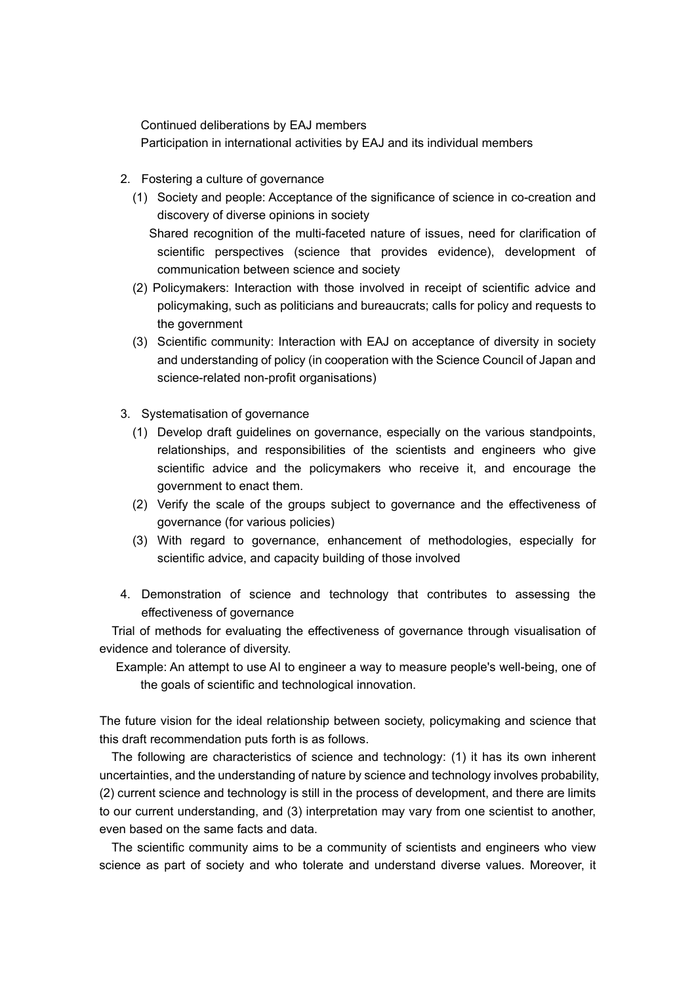Continued deliberations by EAJ members Participation in international activities by EAJ and its individual members

- 2. Fostering a culture of governance
	- (1) Society and people: Acceptance of the significance of science in co-creation and discovery of diverse opinions in society
		- Shared recognition of the multi-faceted nature of issues, need for clarification of scientific perspectives (science that provides evidence), development of communication between science and society
	- (2) Policymakers: Interaction with those involved in receipt of scientific advice and policymaking, such as politicians and bureaucrats; calls for policy and requests to the government
	- (3) Scientific community: Interaction with EAJ on acceptance of diversity in society and understanding of policy (in cooperation with the Science Council of Japan and science-related non-profit organisations)
- 3. Systematisation of governance
	- (1) Develop draft guidelines on governance, especially on the various standpoints, relationships, and responsibilities of the scientists and engineers who give scientific advice and the policymakers who receive it, and encourage the government to enact them.
	- (2) Verify the scale of the groups subject to governance and the effectiveness of governance (for various policies)
	- (3) With regard to governance, enhancement of methodologies, especially for scientific advice, and capacity building of those involved
- 4. Demonstration of science and technology that contributes to assessing the effectiveness of governance

Trial of methods for evaluating the effectiveness of governance through visualisation of evidence and tolerance of diversity.

Example: An attempt to use AI to engineer a way to measure people's well-being, one of the goals of scientific and technological innovation.

The future vision for the ideal relationship between society, policymaking and science that this draft recommendation puts forth is as follows.

The following are characteristics of science and technology: (1) it has its own inherent uncertainties, and the understanding of nature by science and technology involves probability, (2) current science and technology is still in the process of development, and there are limits to our current understanding, and (3) interpretation may vary from one scientist to another, even based on the same facts and data.

The scientific community aims to be a community of scientists and engineers who view science as part of society and who tolerate and understand diverse values. Moreover, it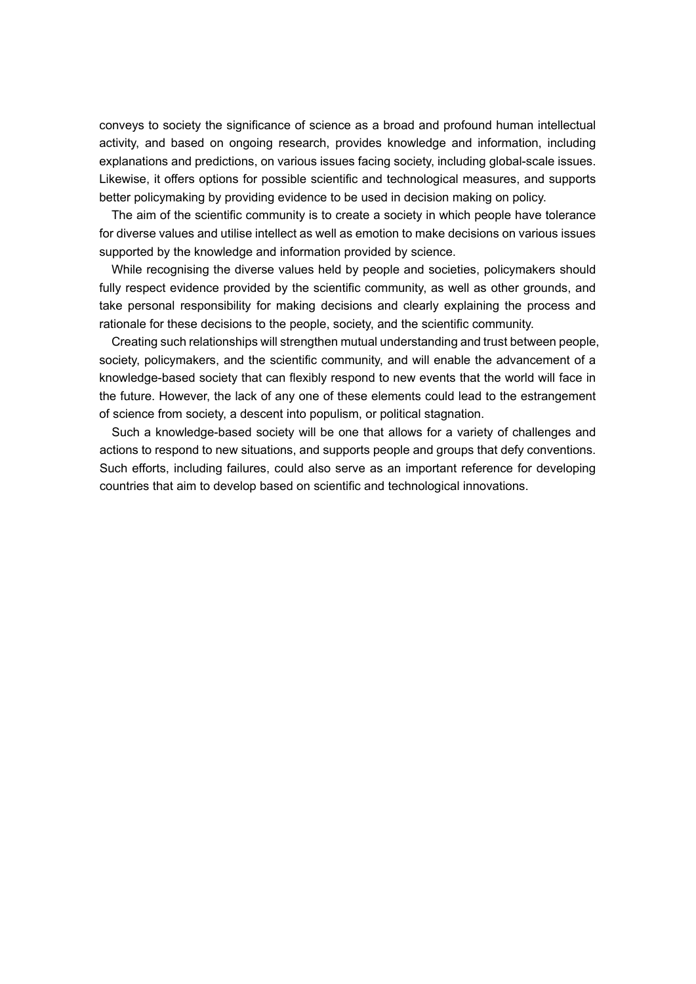conveys to society the significance of science as a broad and profound human intellectual activity, and based on ongoing research, provides knowledge and information, including explanations and predictions, on various issues facing society, including global-scale issues. Likewise, it offers options for possible scientific and technological measures, and supports better policymaking by providing evidence to be used in decision making on policy.

The aim of the scientific community is to create a society in which people have tolerance for diverse values and utilise intellect as well as emotion to make decisions on various issues supported by the knowledge and information provided by science.

While recognising the diverse values held by people and societies, policymakers should fully respect evidence provided by the scientific community, as well as other grounds, and take personal responsibility for making decisions and clearly explaining the process and rationale for these decisions to the people, society, and the scientific community.

Creating such relationships will strengthen mutual understanding and trust between people, society, policymakers, and the scientific community, and will enable the advancement of a knowledge-based society that can flexibly respond to new events that the world will face in the future. However, the lack of any one of these elements could lead to the estrangement of science from society, a descent into populism, or political stagnation.

Such a knowledge-based society will be one that allows for a variety of challenges and actions to respond to new situations, and supports people and groups that defy conventions. Such efforts, including failures, could also serve as an important reference for developing countries that aim to develop based on scientific and technological innovations.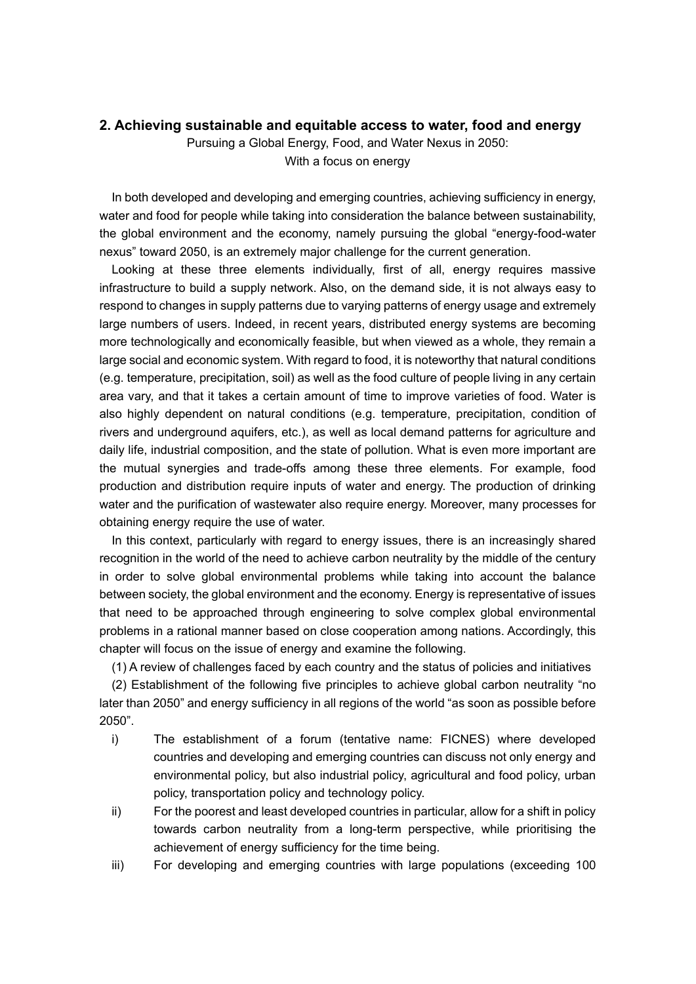## **2. Achieving sustainable and equitable access to water, food and energy**

Pursuing a Global Energy, Food, and Water Nexus in 2050: With a focus on energy

In both developed and developing and emerging countries, achieving sufficiency in energy, water and food for people while taking into consideration the balance between sustainability, the global environment and the economy, namely pursuing the global "energy-food-water nexus" toward 2050, is an extremely major challenge for the current generation.

Looking at these three elements individually, first of all, energy requires massive infrastructure to build a supply network. Also, on the demand side, it is not always easy to respond to changes in supply patterns due to varying patterns of energy usage and extremely large numbers of users. Indeed, in recent years, distributed energy systems are becoming more technologically and economically feasible, but when viewed as a whole, they remain a large social and economic system. With regard to food, it is noteworthy that natural conditions (e.g. temperature, precipitation, soil) as well as the food culture of people living in any certain area vary, and that it takes a certain amount of time to improve varieties of food. Water is also highly dependent on natural conditions (e.g. temperature, precipitation, condition of rivers and underground aquifers, etc.), as well as local demand patterns for agriculture and daily life, industrial composition, and the state of pollution. What is even more important are the mutual synergies and trade-offs among these three elements. For example, food production and distribution require inputs of water and energy. The production of drinking water and the purification of wastewater also require energy. Moreover, many processes for obtaining energy require the use of water.

In this context, particularly with regard to energy issues, there is an increasingly shared recognition in the world of the need to achieve carbon neutrality by the middle of the century in order to solve global environmental problems while taking into account the balance between society, the global environment and the economy. Energy is representative of issues that need to be approached through engineering to solve complex global environmental problems in a rational manner based on close cooperation among nations. Accordingly, this chapter will focus on the issue of energy and examine the following.

(1) A review of challenges faced by each country and the status of policies and initiatives

(2) Establishment of the following five principles to achieve global carbon neutrality "no later than 2050" and energy sufficiency in all regions of the world "as soon as possible before 2050".

- i) The establishment of a forum (tentative name: FICNES) where developed countries and developing and emerging countries can discuss not only energy and environmental policy, but also industrial policy, agricultural and food policy, urban policy, transportation policy and technology policy.
- ii) For the poorest and least developed countries in particular, allow for a shift in policy towards carbon neutrality from a long-term perspective, while prioritising the achievement of energy sufficiency for the time being.
- iii) For developing and emerging countries with large populations (exceeding 100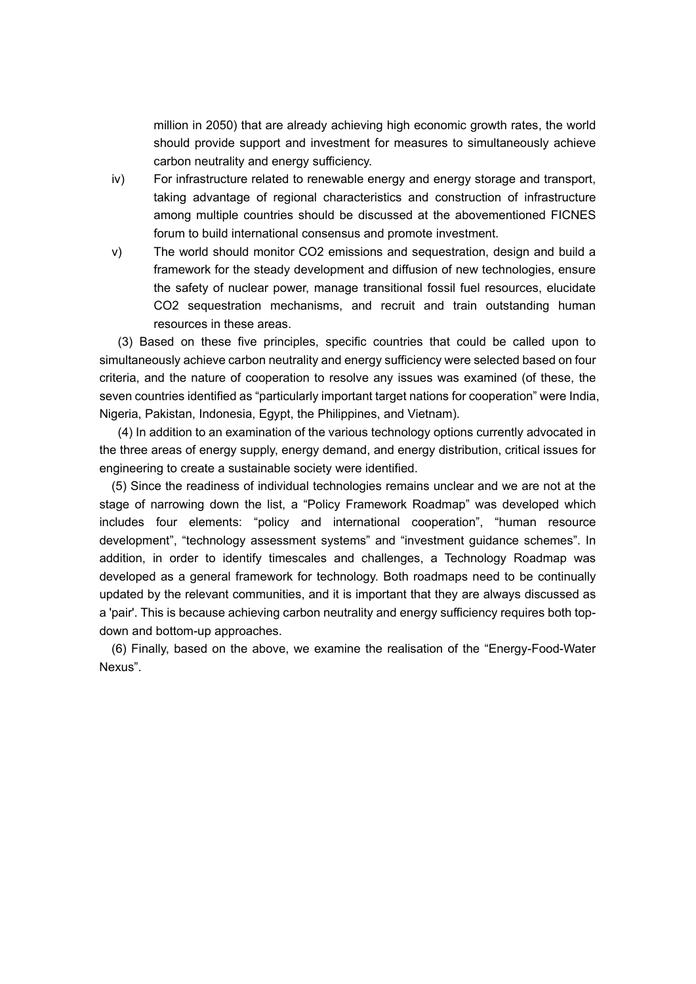million in 2050) that are already achieving high economic growth rates, the world should provide support and investment for measures to simultaneously achieve carbon neutrality and energy sufficiency.

- iv) For infrastructure related to renewable energy and energy storage and transport, taking advantage of regional characteristics and construction of infrastructure among multiple countries should be discussed at the abovementioned FICNES forum to build international consensus and promote investment.
- v) The world should monitor CO2 emissions and sequestration, design and build a framework for the steady development and diffusion of new technologies, ensure the safety of nuclear power, manage transitional fossil fuel resources, elucidate CO2 sequestration mechanisms, and recruit and train outstanding human resources in these areas.

(3) Based on these five principles, specific countries that could be called upon to simultaneously achieve carbon neutrality and energy sufficiency were selected based on four criteria, and the nature of cooperation to resolve any issues was examined (of these, the seven countries identified as "particularly important target nations for cooperation" were India, Nigeria, Pakistan, Indonesia, Egypt, the Philippines, and Vietnam).

(4) In addition to an examination of the various technology options currently advocated in the three areas of energy supply, energy demand, and energy distribution, critical issues for engineering to create a sustainable society were identified.

(5) Since the readiness of individual technologies remains unclear and we are not at the stage of narrowing down the list, a "Policy Framework Roadmap" was developed which includes four elements: "policy and international cooperation", "human resource development", "technology assessment systems" and "investment guidance schemes". In addition, in order to identify timescales and challenges, a Technology Roadmap was developed as a general framework for technology. Both roadmaps need to be continually updated by the relevant communities, and it is important that they are always discussed as a 'pair'. This is because achieving carbon neutrality and energy sufficiency requires both topdown and bottom-up approaches.

(6) Finally, based on the above, we examine the realisation of the "Energy-Food-Water Nexus".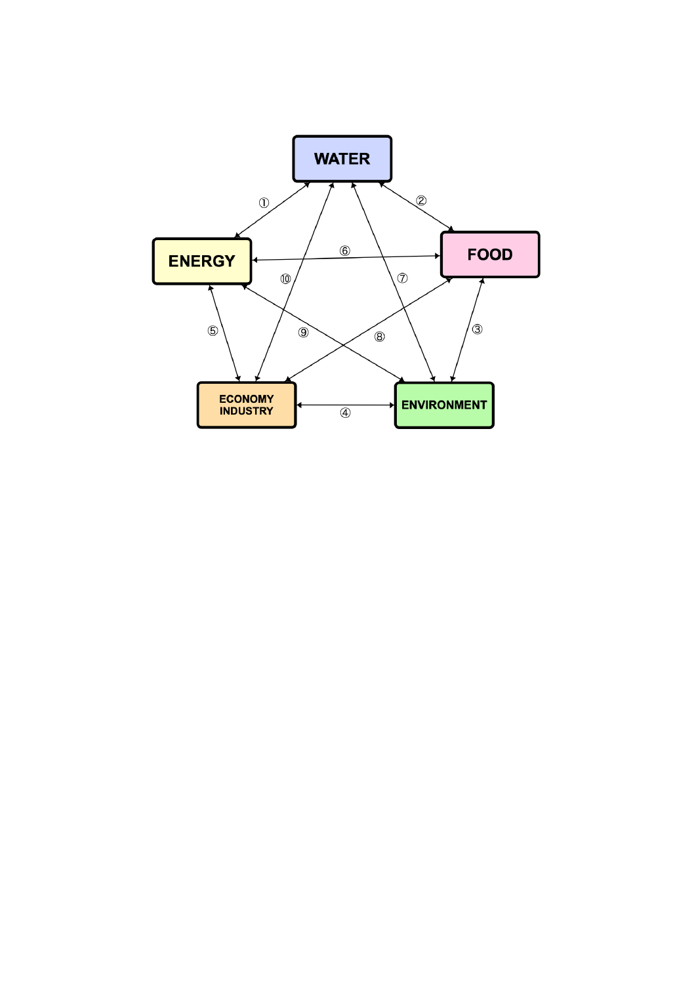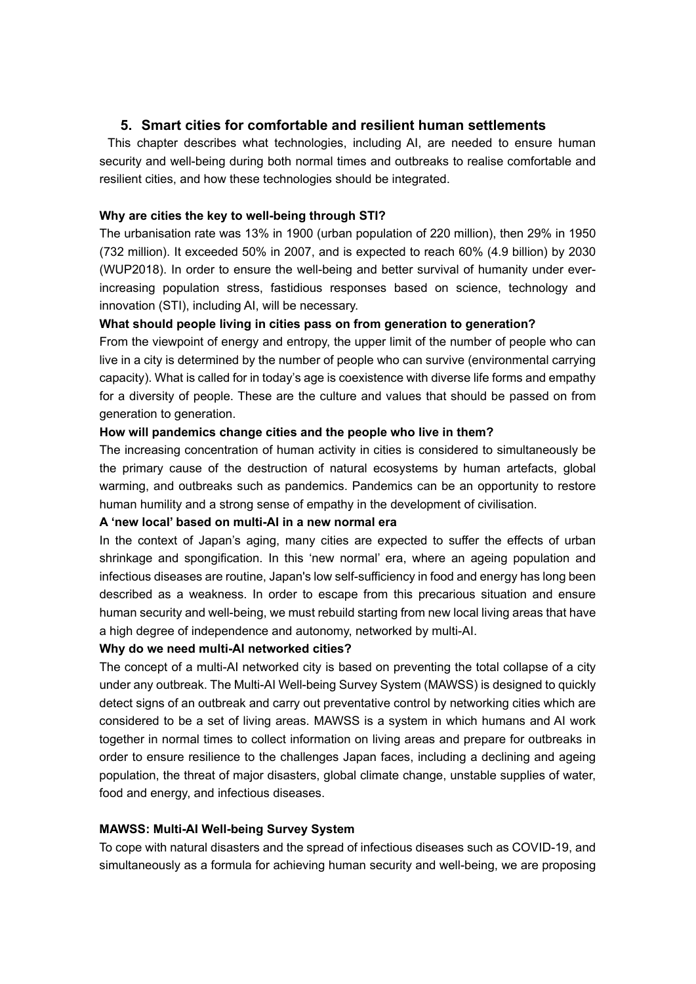## **5. Smart cities for comfortable and resilient human settlements**

This chapter describes what technologies, including AI, are needed to ensure human security and well-being during both normal times and outbreaks to realise comfortable and resilient cities, and how these technologies should be integrated.

### **Why are cities the key to well-being through STI?**

The urbanisation rate was 13% in 1900 (urban population of 220 million), then 29% in 1950 (732 million). It exceeded 50% in 2007, and is expected to reach 60% (4.9 billion) by 2030 (WUP2018). In order to ensure the well-being and better survival of humanity under everincreasing population stress, fastidious responses based on science, technology and innovation (STI), including AI, will be necessary.

#### **What should people living in cities pass on from generation to generation?**

From the viewpoint of energy and entropy, the upper limit of the number of people who can live in a city is determined by the number of people who can survive (environmental carrying capacity). What is called for in today's age is coexistence with diverse life forms and empathy for a diversity of people. These are the culture and values that should be passed on from generation to generation.

#### **How will pandemics change cities and the people who live in them?**

The increasing concentration of human activity in cities is considered to simultaneously be the primary cause of the destruction of natural ecosystems by human artefacts, global warming, and outbreaks such as pandemics. Pandemics can be an opportunity to restore human humility and a strong sense of empathy in the development of civilisation.

## **A 'new local' based on multi-AI in a new normal era**

In the context of Japan's aging, many cities are expected to suffer the effects of urban shrinkage and spongification. In this 'new normal' era, where an ageing population and infectious diseases are routine, Japan's low self-sufficiency in food and energy has long been described as a weakness. In order to escape from this precarious situation and ensure human security and well-being, we must rebuild starting from new local living areas that have a high degree of independence and autonomy, networked by multi-AI.

## **Why do we need multi-AI networked cities?**

The concept of a multi-AI networked city is based on preventing the total collapse of a city under any outbreak. The Multi-AI Well-being Survey System (MAWSS) is designed to quickly detect signs of an outbreak and carry out preventative control by networking cities which are considered to be a set of living areas. MAWSS is a system in which humans and AI work together in normal times to collect information on living areas and prepare for outbreaks in order to ensure resilience to the challenges Japan faces, including a declining and ageing population, the threat of major disasters, global climate change, unstable supplies of water, food and energy, and infectious diseases.

### **MAWSS: Multi-AI Well-being Survey System**

To cope with natural disasters and the spread of infectious diseases such as COVID-19, and simultaneously as a formula for achieving human security and well-being, we are proposing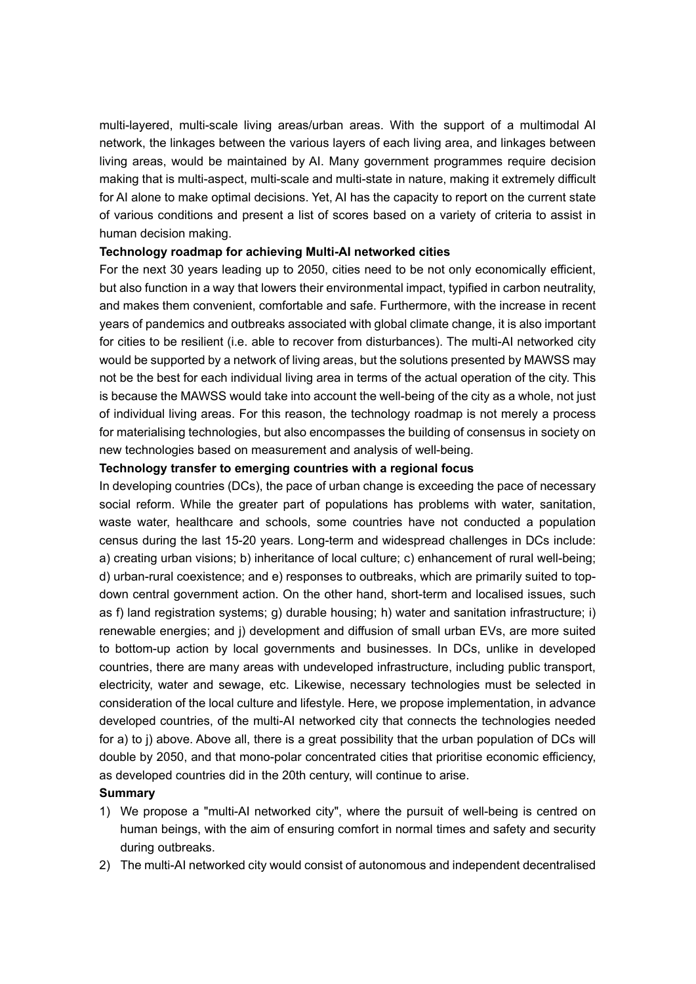multi-layered, multi-scale living areas/urban areas. With the support of a multimodal AI network, the linkages between the various layers of each living area, and linkages between living areas, would be maintained by AI. Many government programmes require decision making that is multi-aspect, multi-scale and multi-state in nature, making it extremely difficult for AI alone to make optimal decisions. Yet, AI has the capacity to report on the current state of various conditions and present a list of scores based on a variety of criteria to assist in human decision making.

#### **Technology roadmap for achieving Multi-AI networked cities**

For the next 30 years leading up to 2050, cities need to be not only economically efficient, but also function in a way that lowers their environmental impact, typified in carbon neutrality, and makes them convenient, comfortable and safe. Furthermore, with the increase in recent years of pandemics and outbreaks associated with global climate change, it is also important for cities to be resilient (i.e. able to recover from disturbances). The multi-AI networked city would be supported by a network of living areas, but the solutions presented by MAWSS may not be the best for each individual living area in terms of the actual operation of the city. This is because the MAWSS would take into account the well-being of the city as a whole, not just of individual living areas. For this reason, the technology roadmap is not merely a process for materialising technologies, but also encompasses the building of consensus in society on new technologies based on measurement and analysis of well-being.

#### **Technology transfer to emerging countries with a regional focus**

In developing countries (DCs), the pace of urban change is exceeding the pace of necessary social reform. While the greater part of populations has problems with water, sanitation, waste water, healthcare and schools, some countries have not conducted a population census during the last 15-20 years. Long-term and widespread challenges in DCs include: a) creating urban visions; b) inheritance of local culture; c) enhancement of rural well-being; d) urban-rural coexistence; and e) responses to outbreaks, which are primarily suited to topdown central government action. On the other hand, short-term and localised issues, such as f) land registration systems; g) durable housing; h) water and sanitation infrastructure; i) renewable energies; and j) development and diffusion of small urban EVs, are more suited to bottom-up action by local governments and businesses. In DCs, unlike in developed countries, there are many areas with undeveloped infrastructure, including public transport, electricity, water and sewage, etc. Likewise, necessary technologies must be selected in consideration of the local culture and lifestyle. Here, we propose implementation, in advance developed countries, of the multi-AI networked city that connects the technologies needed for a) to j) above. Above all, there is a great possibility that the urban population of DCs will double by 2050, and that mono-polar concentrated cities that prioritise economic efficiency, as developed countries did in the 20th century, will continue to arise.

## **Summary**

- 1) We propose a "multi-AI networked city", where the pursuit of well-being is centred on human beings, with the aim of ensuring comfort in normal times and safety and security during outbreaks.
- 2) The multi-AI networked city would consist of autonomous and independent decentralised